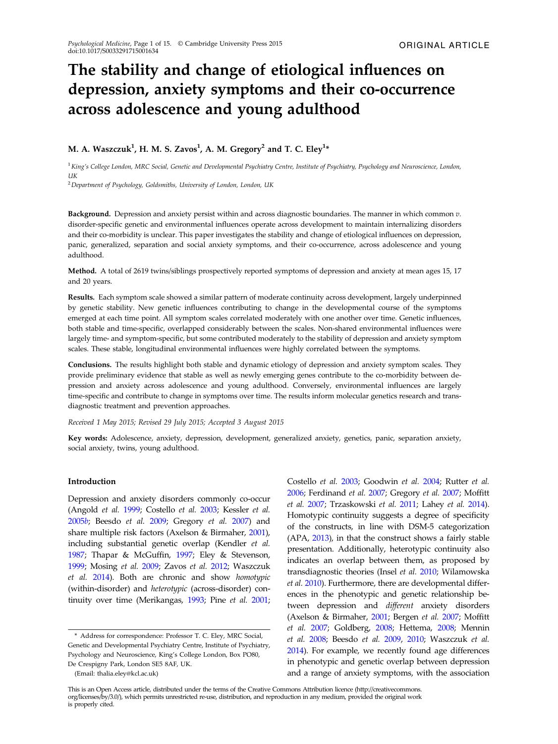# The stability and change of etiological influences on depression, anxiety symptoms and their co-occurrence across adolescence and young adulthood

# M. A. Waszczuk $^1$ , H. M. S. Zavos $^1$ , A. M. Gregory $^2$  and T. C. Eley $^{1\ast}$

 $1$ King's College London, MRC Social, Genetic and Developmental Psychiatry Centre, Institute of Psychiatry, Psychology and Neuroscience, London,  $IIK$ 

<sup>2</sup>Department of Psychology, Goldsmiths, University of London, London, UK

**Background.** Depression and anxiety persist within and across diagnostic boundaries. The manner in which common  $v$ . disorder-specific genetic and environmental influences operate across development to maintain internalizing disorders and their co-morbidity is unclear. This paper investigates the stability and change of etiological influences on depression, panic, generalized, separation and social anxiety symptoms, and their co-occurrence, across adolescence and young adulthood.

Method. A total of 2619 twins/siblings prospectively reported symptoms of depression and anxiety at mean ages 15, 17 and 20 years.

Results. Each symptom scale showed a similar pattern of moderate continuity across development, largely underpinned by genetic stability. New genetic influences contributing to change in the developmental course of the symptoms emerged at each time point. All symptom scales correlated moderately with one another over time. Genetic influences, both stable and time-specific, overlapped considerably between the scales. Non-shared environmental influences were largely time- and symptom-specific, but some contributed moderately to the stability of depression and anxiety symptom scales. These stable, longitudinal environmental influences were highly correlated between the symptoms.

Conclusions. The results highlight both stable and dynamic etiology of depression and anxiety symptom scales. They provide preliminary evidence that stable as well as newly emerging genes contribute to the co-morbidity between depression and anxiety across adolescence and young adulthood. Conversely, environmental influences are largely time-specific and contribute to change in symptoms over time. The results inform molecular genetics research and transdiagnostic treatment and prevention approaches.

Received 1 May 2015; Revised 29 July 2015; Accepted 3 August 2015

Key words: Adolescence, anxiety, depression, development, generalized anxiety, genetics, panic, separation anxiety, social anxiety, twins, young adulthood.

# Introduction

Depression and anxiety disorders commonly co-occur (Angold et al. [1999](#page-11-0); Costello et al. [2003;](#page-12-0) Kessler et al. [2005](#page-13-0)b; Beesdo et al. [2009;](#page-11-0) Gregory et al. [2007](#page-12-0)) and share multiple risk factors (Axelson & Birmaher, [2001\)](#page-11-0), including substantial genetic overlap (Kendler et al. [1987](#page-12-0); Thapar & McGuffin, [1997;](#page-14-0) Eley & Stevenson, [1999](#page-12-0); Mosing et al. [2009](#page-13-0); Zavos et al. [2012;](#page-14-0) Waszczuk et al. [2014\)](#page-14-0). Both are chronic and show homotypic (within-disorder) and heterotypic (across-disorder) continuity over time (Merikangas, [1993;](#page-13-0) Pine et al. [2001](#page-13-0);

(Email: thalia.eley@kcl.ac.uk)

Costello et al. [2003](#page-12-0); Goodwin et al. [2004](#page-12-0); Rutter et al. [2006](#page-13-0); Ferdinand et al. [2007](#page-12-0); Gregory et al. [2007](#page-12-0); Moffitt et al. [2007](#page-13-0); Trzaskowski et al. [2011;](#page-14-0) Lahey et al. [2014\)](#page-13-0). Homotypic continuity suggests a degree of specificity of the constructs, in line with DSM-5 categorization (APA, [2013](#page-11-0)), in that the construct shows a fairly stable presentation. Additionally, heterotypic continuity also indicates an overlap between them, as proposed by transdiagnostic theories (Insel et al. [2010](#page-12-0); Wilamowska et al. [2010](#page-14-0)). Furthermore, there are developmental differences in the phenotypic and genetic relationship between depression and different anxiety disorders (Axelson & Birmaher, [2001](#page-11-0); Bergen et al. [2007;](#page-11-0) Moffitt et al. [2007;](#page-13-0) Goldberg, [2008;](#page-12-0) Hettema, [2008;](#page-12-0) Mennin et al. [2008;](#page-13-0) Beesdo et al. [2009](#page-11-0), [2010](#page-11-0); Waszczuk et al. [2014](#page-14-0)). For example, we recently found age differences in phenotypic and genetic overlap between depression and a range of anxiety symptoms, with the association

<sup>\*</sup> Address for correspondence: Professor T. C. Eley, MRC Social, Genetic and Developmental Psychiatry Centre, Institute of Psychiatry, Psychology and Neuroscience, King's College London, Box PO80, De Crespigny Park, London SE5 8AF, UK.

This is an Open Access article, distributed under the terms of the Creative Commons Attribution licence (http://creativecommons. org/licenses/by/3.0/), which permits unrestricted re-use, distribution, and reproduction in any medium, provided the original work is properly cited.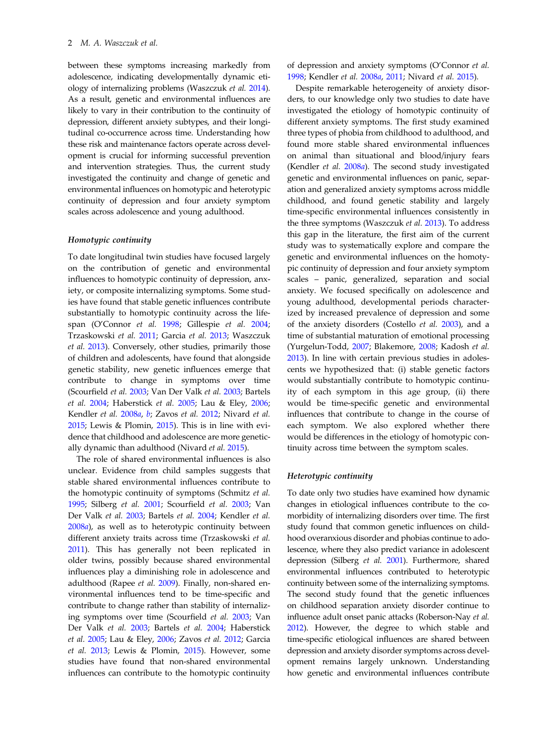between these symptoms increasing markedly from adolescence, indicating developmentally dynamic etiology of internalizing problems (Waszczuk et al. [2014\)](#page-14-0). As a result, genetic and environmental influences are likely to vary in their contribution to the continuity of depression, different anxiety subtypes, and their longitudinal co-occurrence across time. Understanding how these risk and maintenance factors operate across development is crucial for informing successful prevention and intervention strategies. Thus, the current study investigated the continuity and change of genetic and environmental influences on homotypic and heterotypic continuity of depression and four anxiety symptom scales across adolescence and young adulthood.

## Homotypic continuity

To date longitudinal twin studies have focused largely on the contribution of genetic and environmental influences to homotypic continuity of depression, anxiety, or composite internalizing symptoms. Some studies have found that stable genetic influences contribute substantially to homotypic continuity across the lifespan (O'Connor et al. [1998;](#page-13-0) Gillespie et al. [2004](#page-12-0); Trzaskowski et al. [2011;](#page-14-0) Garcia et al. [2013](#page-12-0); Waszczuk et al. [2013](#page-14-0)). Conversely, other studies, primarily those of children and adolescents, have found that alongside genetic stability, new genetic influences emerge that contribute to change in symptoms over time (Scourfield et al. [2003;](#page-13-0) Van Der Valk et al. [2003;](#page-14-0) Bartels et al. [2004;](#page-11-0) Haberstick et al. [2005](#page-12-0); Lau & Eley, [2006](#page-13-0); Kendler et al. [2008](#page-12-0)a, [b](#page-12-0); Zavos et al. [2012](#page-14-0); Nivard et al. [2015;](#page-13-0) Lewis & Plomin, [2015](#page-13-0)). This is in line with evidence that childhood and adolescence are more genetically dynamic than adulthood (Nivard et al. [2015\)](#page-13-0).

The role of shared environmental influences is also unclear. Evidence from child samples suggests that stable shared environmental influences contribute to the homotypic continuity of symptoms (Schmitz et al. [1995;](#page-13-0) Silberg et al. [2001;](#page-13-0) Scourfield et al. [2003;](#page-13-0) Van Der Valk et al. [2003;](#page-14-0) Bartels et al. [2004](#page-11-0); Kendler et al. [2008](#page-12-0)a), as well as to heterotypic continuity between different anxiety traits across time (Trzaskowski et al. [2011\)](#page-14-0). This has generally not been replicated in older twins, possibly because shared environmental influences play a diminishing role in adolescence and adulthood (Rapee et al. [2009](#page-13-0)). Finally, non-shared environmental influences tend to be time-specific and contribute to change rather than stability of internalizing symptoms over time (Scourfield et al. [2003](#page-13-0); Van Der Valk et al. [2003;](#page-14-0) Bartels et al. [2004](#page-11-0); Haberstick et al. [2005;](#page-12-0) Lau & Eley, [2006;](#page-13-0) Zavos et al. [2012;](#page-14-0) Garcia et al. [2013;](#page-12-0) Lewis & Plomin, [2015\)](#page-13-0). However, some studies have found that non-shared environmental influences can contribute to the homotypic continuity of depression and anxiety symptoms (O'Connor et al. [1998;](#page-13-0) Kendler et al. [2008](#page-12-0)a, [2011](#page-12-0); Nivard et al. [2015\)](#page-13-0).

Despite remarkable heterogeneity of anxiety disorders, to our knowledge only two studies to date have investigated the etiology of homotypic continuity of different anxiety symptoms. The first study examined three types of phobia from childhood to adulthood, and found more stable shared environmental influences on animal than situational and blood/injury fears (Kendler et al. [2008](#page-12-0)a). The second study investigated genetic and environmental influences on panic, separation and generalized anxiety symptoms across middle childhood, and found genetic stability and largely time-specific environmental influences consistently in the three symptoms (Waszczuk et al. [2013\)](#page-14-0). To address this gap in the literature, the first aim of the current study was to systematically explore and compare the genetic and environmental influences on the homotypic continuity of depression and four anxiety symptom scales – panic, generalized, separation and social anxiety. We focused specifically on adolescence and young adulthood, developmental periods characterized by increased prevalence of depression and some of the anxiety disorders (Costello et al. [2003](#page-12-0)), and a time of substantial maturation of emotional processing (Yurgelun-Todd, [2007](#page-14-0); Blakemore, [2008](#page-11-0); Kadosh et al. [2013\)](#page-12-0). In line with certain previous studies in adolescents we hypothesized that: (i) stable genetic factors would substantially contribute to homotypic continuity of each symptom in this age group, (ii) there would be time-specific genetic and environmental influences that contribute to change in the course of each symptom. We also explored whether there would be differences in the etiology of homotypic continuity across time between the symptom scales.

#### Heterotypic continuity

To date only two studies have examined how dynamic changes in etiological influences contribute to the comorbidity of internalizing disorders over time. The first study found that common genetic influences on childhood overanxious disorder and phobias continue to adolescence, where they also predict variance in adolescent depression (Silberg et al. [2001\)](#page-13-0). Furthermore, shared environmental influences contributed to heterotypic continuity between some of the internalizing symptoms. The second study found that the genetic influences on childhood separation anxiety disorder continue to influence adult onset panic attacks (Roberson‐Nay et al. [2012](#page-13-0)). However, the degree to which stable and time-specific etiological influences are shared between depression and anxiety disorder symptoms across development remains largely unknown. Understanding how genetic and environmental influences contribute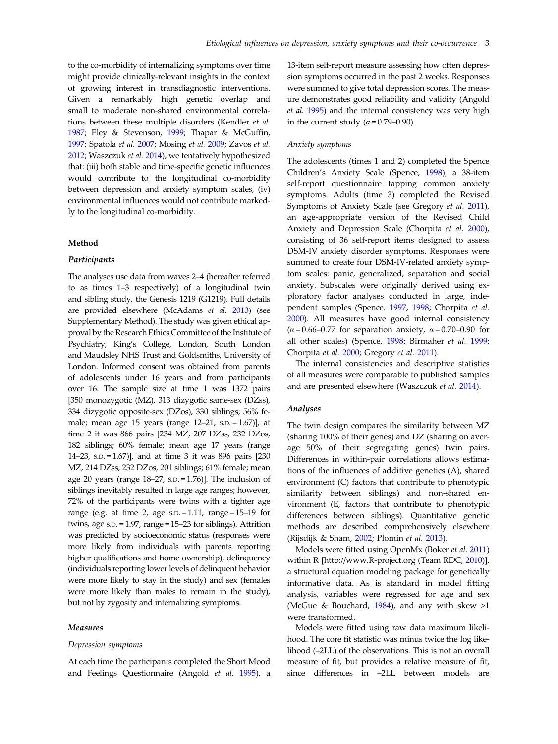to the co-morbidity of internalizing symptoms over time might provide clinically-relevant insights in the context of growing interest in transdiagnostic interventions. Given a remarkably high genetic overlap and small to moderate non-shared environmental correlations between these multiple disorders (Kendler et al. [1987](#page-12-0); Eley & Stevenson, [1999](#page-12-0); Thapar & McGuffin, [1997](#page-14-0); Spatola et al. [2007;](#page-14-0) Mosing et al. [2009;](#page-13-0) Zavos et al. [2012](#page-14-0); Waszczuk et al. [2014\)](#page-14-0), we tentatively hypothesized that: (iii) both stable and time-specific genetic influences would contribute to the longitudinal co-morbidity between depression and anxiety symptom scales, (iv) environmental influences would not contribute markedly to the longitudinal co-morbidity.

# Method

## Participants

The analyses use data from waves 2–4 (hereafter referred to as times 1–3 respectively) of a longitudinal twin and sibling study, the Genesis 1219 (G1219). Full details are provided elsewhere (McAdams et al. [2013](#page-13-0)) (see Supplementary Method). The study was given ethical approval by the Research Ethics Committee of the Institute of Psychiatry, King's College, London, South London and Maudsley NHS Trust and Goldsmiths, University of London. Informed consent was obtained from parents of adolescents under 16 years and from participants over 16. The sample size at time 1 was 1372 pairs [350 monozygotic (MZ), 313 dizygotic same-sex (DZss), 334 dizygotic opposite-sex (DZos), 330 siblings; 56% female; mean age 15 years (range 12–21, S.D. = 1.67)], at time 2 it was 866 pairs [234 MZ, 207 DZss, 232 DZos, 182 siblings; 60% female; mean age 17 years (range 14–23, S.D. = 1.67)], and at time 3 it was 896 pairs [230 MZ, 214 DZss, 232 DZos, 201 siblings; 61% female; mean age 20 years (range 18–27, S.D. = 1.76)]. The inclusion of siblings inevitably resulted in large age ranges; however, 72% of the participants were twins with a tighter age range (e.g. at time 2, age  $s.D. = 1.11$ , range = 15–19 for twins, age S.D. = 1.97, range = 15–23 for siblings). Attrition was predicted by socioeconomic status (responses were more likely from individuals with parents reporting higher qualifications and home ownership), delinquency (individuals reporting lower levels of delinquent behavior were more likely to stay in the study) and sex (females were more likely than males to remain in the study), but not by zygosity and internalizing symptoms.

#### Measures

#### Depression symptoms

At each time the participants completed the Short Mood and Feelings Questionnaire (Angold et al. [1995](#page-11-0)), a

13-item self-report measure assessing how often depression symptoms occurred in the past 2 weeks. Responses were summed to give total depression scores. The measure demonstrates good reliability and validity (Angold et al. [1995\)](#page-11-0) and the internal consistency was very high in the current study ( $\alpha$  = 0.79–0.90).

# Anxiety symptoms

The adolescents (times 1 and 2) completed the Spence Children's Anxiety Scale (Spence, [1998](#page-14-0)); a 38-item self-report questionnaire tapping common anxiety symptoms. Adults (time 3) completed the Revised Symptoms of Anxiety Scale (see Gregory et al. [2011](#page-12-0)), an age-appropriate version of the Revised Child Anxiety and Depression Scale (Chorpita et al. [2000](#page-11-0)), consisting of 36 self-report items designed to assess DSM-IV anxiety disorder symptoms. Responses were summed to create four DSM-IV-related anxiety symptom scales: panic, generalized, separation and social anxiety. Subscales were originally derived using exploratory factor analyses conducted in large, independent samples (Spence, [1997,](#page-14-0) [1998](#page-14-0); Chorpita et al. [2000\)](#page-11-0). All measures have good internal consistency  $(\alpha = 0.66 - 0.77)$  for separation anxiety,  $\alpha = 0.70 - 0.90$  for all other scales) (Spence, [1998;](#page-14-0) Birmaher et al. [1999](#page-11-0); Chorpita et al. [2000;](#page-11-0) Gregory et al. [2011\)](#page-12-0).

The internal consistencies and descriptive statistics of all measures were comparable to published samples and are presented elsewhere (Waszczuk et al. [2014\)](#page-14-0).

## Analyses

The twin design compares the similarity between MZ (sharing 100% of their genes) and DZ (sharing on average 50% of their segregating genes) twin pairs. Differences in within-pair correlations allows estimations of the influences of additive genetics (A), shared environment (C) factors that contribute to phenotypic similarity between siblings) and non-shared environment (E, factors that contribute to phenotypic differences between siblings). Quantitative genetic methods are described comprehensively elsewhere (Rijsdijk & Sham, [2002](#page-13-0); Plomin et al. [2013\)](#page-13-0).

Models were fitted using OpenMx (Boker et al. [2011\)](#page-11-0) within R [http://www.R-project.org (Team RDC, [2010\)](#page-14-0)], a structural equation modeling package for genetically informative data. As is standard in model fitting analysis, variables were regressed for age and sex (McGue & Bouchard, [1984](#page-13-0)), and any with skew >1 were transformed.

Models were fitted using raw data maximum likelihood. The core fit statistic was minus twice the log likelihood (–2LL) of the observations. This is not an overall measure of fit, but provides a relative measure of fit, since differences in –2LL between models are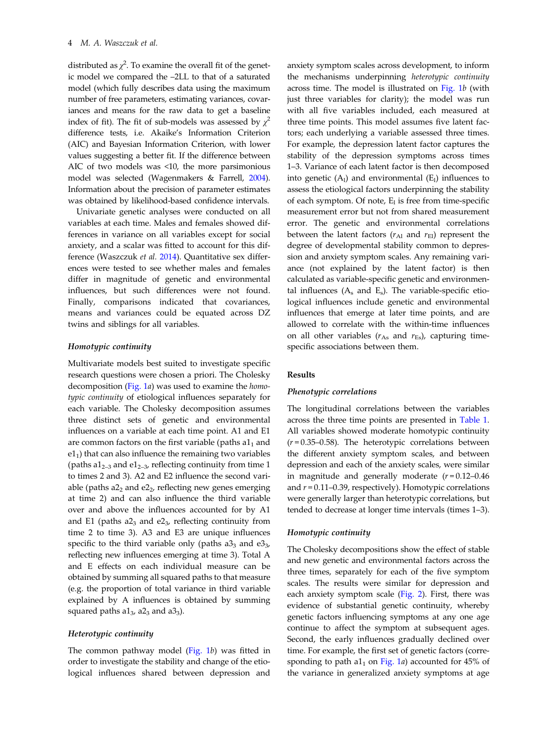distributed as  $\chi^2$ . To examine the overall fit of the genetic model we compared the –2LL to that of a saturated model (which fully describes data using the maximum number of free parameters, estimating variances, covariances and means for the raw data to get a baseline index of fit). The fit of sub-models was assessed by  $\chi^2$ difference tests, i.e. Akaike's Information Criterion (AIC) and Bayesian Information Criterion, with lower values suggesting a better fit. If the difference between AIC of two models was <10, the more parsimonious model was selected (Wagenmakers & Farrell, [2004\)](#page-14-0). Information about the precision of parameter estimates was obtained by likelihood-based confidence intervals.

Univariate genetic analyses were conducted on all variables at each time. Males and females showed differences in variance on all variables except for social anxiety, and a scalar was fitted to account for this difference (Waszczuk et al. [2014\)](#page-14-0). Quantitative sex differences were tested to see whether males and females differ in magnitude of genetic and environmental influences, but such differences were not found. Finally, comparisons indicated that covariances, means and variances could be equated across DZ twins and siblings for all variables.

# Homotypic continuity

Multivariate models best suited to investigate specific research questions were chosen a priori. The Cholesky decomposition [\(Fig. 1](#page-4-0)a) was used to examine the homotypic continuity of etiological influences separately for each variable. The Cholesky decomposition assumes three distinct sets of genetic and environmental influences on a variable at each time point. A1 and E1 are common factors on the first variable (paths  $a1<sub>1</sub>$  and  $e1<sub>1</sub>$ ) that can also influence the remaining two variables (paths a $1_{2-3}$  and e $1_{2-3}$ , reflecting continuity from time 1 to times 2 and 3). A2 and E2 influence the second variable (paths  $a2<sub>2</sub>$  and  $e2<sub>2</sub>$ , reflecting new genes emerging at time 2) and can also influence the third variable over and above the influences accounted for by A1 and E1 (paths  $a2_3$  and  $e2_3$ , reflecting continuity from time 2 to time 3). A3 and E3 are unique influences specific to the third variable only (paths  $a3<sub>3</sub>$  and  $e3<sub>3</sub>$ , reflecting new influences emerging at time 3). Total A and E effects on each individual measure can be obtained by summing all squared paths to that measure (e.g. the proportion of total variance in third variable explained by A influences is obtained by summing squared paths  $a1_3$ ,  $a2_3$  and  $a3_3$ ).

## Heterotypic continuity

The common pathway model [\(Fig. 1](#page-4-0)b) was fitted in order to investigate the stability and change of the etiological influences shared between depression and

anxiety symptom scales across development, to inform the mechanisms underpinning heterotypic continuity across time. The model is illustrated on [Fig. 1](#page-4-0)b (with just three variables for clarity); the model was run with all five variables included, each measured at three time points. This model assumes five latent factors; each underlying a variable assessed three times. For example, the depression latent factor captures the stability of the depression symptoms across times 1–3. Variance of each latent factor is then decomposed into genetic  $(A<sub>1</sub>)$  and environmental  $(E<sub>1</sub>)$  influences to assess the etiological factors underpinning the stability of each symptom. Of note,  $E_1$  is free from time-specific measurement error but not from shared measurement error. The genetic and environmental correlations between the latent factors ( $r_{\text{Al}}$  and  $r_{\text{El}}$ ) represent the degree of developmental stability common to depression and anxiety symptom scales. Any remaining variance (not explained by the latent factor) is then calculated as variable-specific genetic and environmental influences  $(A_s$  and  $E_s$ ). The variable-specific etiological influences include genetic and environmental influences that emerge at later time points, and are allowed to correlate with the within-time influences on all other variables ( $r_{As}$  and  $r_{Es}$ ), capturing timespecific associations between them.

## Results

## Phenotypic correlations

The longitudinal correlations between the variables across the three time points are presented in [Table 1](#page-5-0). All variables showed moderate homotypic continuity  $(r=0.35-0.58)$ . The heterotypic correlations between the different anxiety symptom scales, and between depression and each of the anxiety scales, were similar in magnitude and generally moderate  $(r=0.12-0.46)$ and  $r = 0.11 - 0.39$ , respectively). Homotypic correlations were generally larger than heterotypic correlations, but tended to decrease at longer time intervals (times 1–3).

## Homotypic continuity

The Cholesky decompositions show the effect of stable and new genetic and environmental factors across the three times, separately for each of the five symptom scales. The results were similar for depression and each anxiety symptom scale ([Fig. 2\)](#page-6-0). First, there was evidence of substantial genetic continuity, whereby genetic factors influencing symptoms at any one age continue to affect the symptom at subsequent ages. Second, the early influences gradually declined over time. For example, the first set of genetic factors (corresponding to path a $1<sub>1</sub>$  on [Fig. 1](#page-4-0)a) accounted for 45% of the variance in generalized anxiety symptoms at age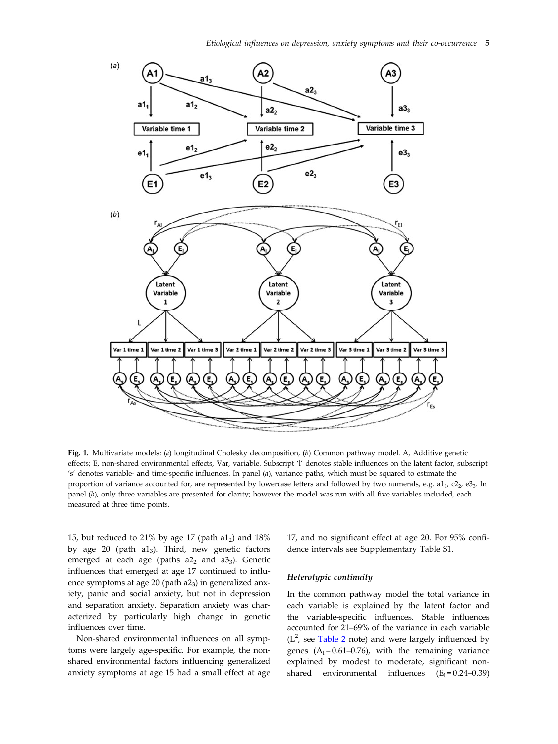<span id="page-4-0"></span>

Fig. 1. Multivariate models: (a) longitudinal Cholesky decomposition, (b) Common pathway model. A, Additive genetic effects; E, non-shared environmental effects, Var, variable. Subscript 'l' denotes stable influences on the latent factor, subscript 's' denotes variable- and time-specific influences. In panel (a), variance paths, which must be squared to estimate the proportion of variance accounted for, are represented by lowercase letters and followed by two numerals, e.g.  $a_{1}1$ ,  $c_{2}$ ,  $e_{3}3$ . In panel (b), only three variables are presented for clarity; however the model was run with all five variables included, each measured at three time points.

15, but reduced to 21% by age 17 (path  $a1<sub>2</sub>$ ) and 18% by age 20 (path  $a1_3$ ). Third, new genetic factors emerged at each age (paths  $a2<sub>2</sub>$  and  $a3<sub>3</sub>$ ). Genetic influences that emerged at age 17 continued to influence symptoms at age 20 (path  $a2_3$ ) in generalized anxiety, panic and social anxiety, but not in depression and separation anxiety. Separation anxiety was characterized by particularly high change in genetic influences over time.

Non-shared environmental influences on all symptoms were largely age-specific. For example, the nonshared environmental factors influencing generalized anxiety symptoms at age 15 had a small effect at age

17, and no significant effect at age 20. For 95% confidence intervals see Supplementary Table S1.

#### Heterotypic continuity

In the common pathway model the total variance in each variable is explained by the latent factor and the variable-specific influences. Stable influences accounted for 21–69% of the variance in each variable  $(L<sup>2</sup>)$ , see [Table 2](#page-7-0) note) and were largely influenced by genes  $(A_1 = 0.61 - 0.76)$ , with the remaining variance explained by modest to moderate, significant nonshared environmental influences  $(E_1 = 0.24 - 0.39)$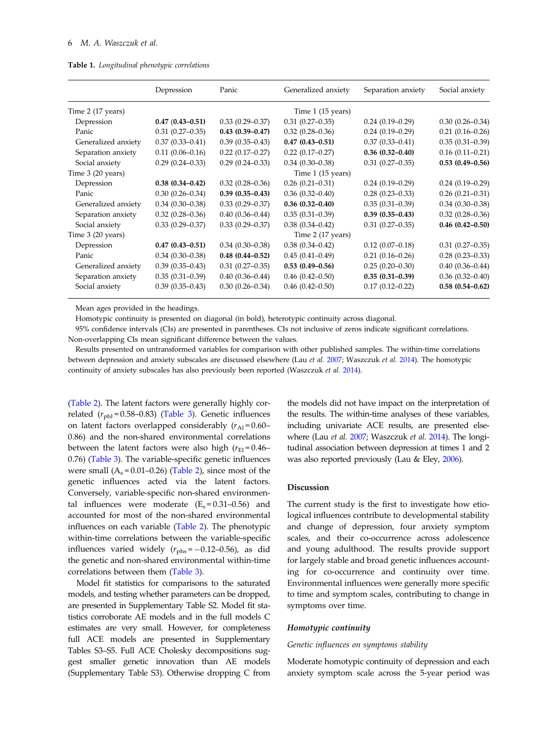<span id="page-5-0"></span>

|  | <b>Table 1.</b> Longitudinal phenotypic correlations |  |  |
|--|------------------------------------------------------|--|--|
|--|------------------------------------------------------|--|--|

|                     | Depression          | Panic               | Generalized anxiety        | Separation anxiety  | Social anxiety         |
|---------------------|---------------------|---------------------|----------------------------|---------------------|------------------------|
| Time 2 (17 years)   |                     |                     | Time $1(15 \text{ years})$ |                     |                        |
| Depression          | $0.47(0.43 - 0.51)$ | $0.33(0.29 - 0.37)$ | $0.31(0.27-0.35)$          | $0.24(0.19-0.29)$   | $0.30(0.26 - 0.34)$    |
| Panic               | $0.31(0.27-0.35)$   | $0.43(0.39 - 0.47)$ | $0.32(0.28 - 0.36)$        | $0.24(0.19-0.29)$   | $0.21(0.16 - 0.26)$    |
| Generalized anxiety | $0.37(0.33 - 0.41)$ | $0.39(0.35 - 0.43)$ | $0.47(0.43 - 0.51)$        | $0.37(0.33 - 0.41)$ | $0.35(0.31 - 0.39)$    |
| Separation anxiety  | $0.11(0.06 - 0.16)$ | $0.22(0.17-0.27)$   | $0.22(0.17-0.27)$          | $0.36(0.32 - 0.40)$ | $0.16(0.11 - 0.21)$    |
| Social anxiety      | $0.29(0.24 - 0.33)$ | $0.29(0.24 - 0.33)$ | $0.34(0.30 - 0.38)$        | $0.31(0.27-0.35)$   | $0.53(0.49 - 0.56)$    |
| Time 3 (20 years)   |                     |                     | Time 1 (15 years)          |                     |                        |
| Depression          | $0.38(0.34 - 0.42)$ | $0.32(0.28 - 0.36)$ | $0.26(0.21 - 0.31)$        | $0.24(0.19-0.29)$   | $0.24(0.19-0.29)$      |
| Panic               | $0.30(0.26 - 0.34)$ | $0.39(0.35 - 0.43)$ | $0.36(0.32 - 0.40)$        | $0.28(0.23 - 0.33)$ | $0.26(0.21 - 0.31)$    |
| Generalized anxiety | $0.34(0.30-0.38)$   | $0.33(0.29 - 0.37)$ | $0.36(0.32 - 0.40)$        | $0.35(0.31 - 0.39)$ | $0.34(0.30-0.38)$      |
| Separation anxiety  | $0.32(0.28 - 0.36)$ | $0.40(0.36 - 0.44)$ | $0.35(0.31-0.39)$          | $0.39(0.35 - 0.43)$ | $0.32(0.28 - 0.36)$    |
| Social anxiety      | $0.33(0.29 - 0.37)$ | $0.33(0.29 - 0.37)$ | $0.38(0.34 - 0.42)$        | $0.31(0.27-0.35)$   | $0.46$ $(0.42 - 0.50)$ |
| Time 3 (20 years)   |                     |                     | Time 2 (17 years)          |                     |                        |
| Depression          | $0.47(0.43 - 0.51)$ | $0.34(0.30-0.38)$   | $0.38(0.34 - 0.42)$        | $0.12(0.07-0.18)$   | $0.31(0.27-0.35)$      |
| Panic               | $0.34(0.30-0.38)$   | $0.48(0.44 - 0.52)$ | $0.45(0.41 - 0.49)$        | $0.21(0.16 - 0.26)$ | $0.28(0.23 - 0.33)$    |
| Generalized anxiety | $0.39(0.35 - 0.43)$ | $0.31(0.27-0.35)$   | $0.53(0.49 - 0.56)$        | $0.25(0.20-0.30)$   | $0.40(0.36 - 0.44)$    |
| Separation anxiety  | $0.35(0.31-0.39)$   | $0.40(0.36 - 0.44)$ | $0.46(0.42 - 0.50)$        | $0.35(0.31 - 0.39)$ | $0.36(0.32 - 0.40)$    |
| Social anxiety      | $0.39(0.35 - 0.43)$ | $0.30(0.26 - 0.34)$ | $0.46(0.42 - 0.50)$        | $0.17(0.12 - 0.22)$ | $0.58(0.54 - 0.62)$    |

Mean ages provided in the headings.

Homotypic continuity is presented on diagonal (in bold), heterotypic continuity across diagonal.

95% confidence intervals (CIs) are presented in parentheses. CIs not inclusive of zeros indicate significant correlations. Non-overlapping CIs mean significant difference between the values.

Results presented on untransformed variables for comparison with other published samples. The within-time correlations between depression and anxiety subscales are discussed elsewhere (Lau et al. [2007](#page-13-0); Waszczuk et al. [2014\)](#page-14-0). The homotypic continuity of anxiety subscales has also previously been reported (Waszczuk et al. [2014](#page-14-0)).

([Table 2](#page-7-0)). The latent factors were generally highly correlated  $(r_{phl} = 0.58 - 0.83)$  ([Table 3](#page-8-0)). Genetic influences on latent factors overlapped considerably  $(r_{\rm Al} = 0.60 -$ 0.86) and the non-shared environmental correlations between the latent factors were also high  $(r_{El} = 0.46-$ 0.76) [\(Table 3\)](#page-8-0). The variable-specific genetic influences were small  $(A_s = 0.01 - 0.26)$  [\(Table 2](#page-7-0)), since most of the genetic influences acted via the latent factors. Conversely, variable-specific non-shared environmental influences were moderate  $(E_s = 0.31 - 0.56)$  and accounted for most of the non-shared environmental influences on each variable [\(Table 2\)](#page-7-0). The phenotypic within-time correlations between the variable-specific influences varied widely  $(r_{\text{phs}} = -0.12 - 0.56)$ , as did the genetic and non-shared environmental within-time correlations between them ([Table 3\)](#page-8-0).

Model fit statistics for comparisons to the saturated models, and testing whether parameters can be dropped, are presented in Supplementary Table S2. Model fit statistics corroborate AE models and in the full models C estimates are very small. However, for completeness full ACE models are presented in Supplementary Tables S3–S5. Full ACE Cholesky decompositions suggest smaller genetic innovation than AE models (Supplementary Table S3). Otherwise dropping C from the models did not have impact on the interpretation of the results. The within-time analyses of these variables, including univariate ACE results, are presented else-where (Lau et al. [2007](#page-13-0); Waszczuk et al. [2014](#page-14-0)). The longitudinal association between depression at times 1 and 2 was also reported previously (Lau & Eley, [2006\)](#page-13-0).

## Discussion

The current study is the first to investigate how etiological influences contribute to developmental stability and change of depression, four anxiety symptom scales, and their co-occurrence across adolescence and young adulthood. The results provide support for largely stable and broad genetic influences accounting for co-occurrence and continuity over time. Environmental influences were generally more specific to time and symptom scales, contributing to change in symptoms over time.

## Homotypic continuity

#### Genetic influences on symptoms stability

Moderate homotypic continuity of depression and each anxiety symptom scale across the 5-year period was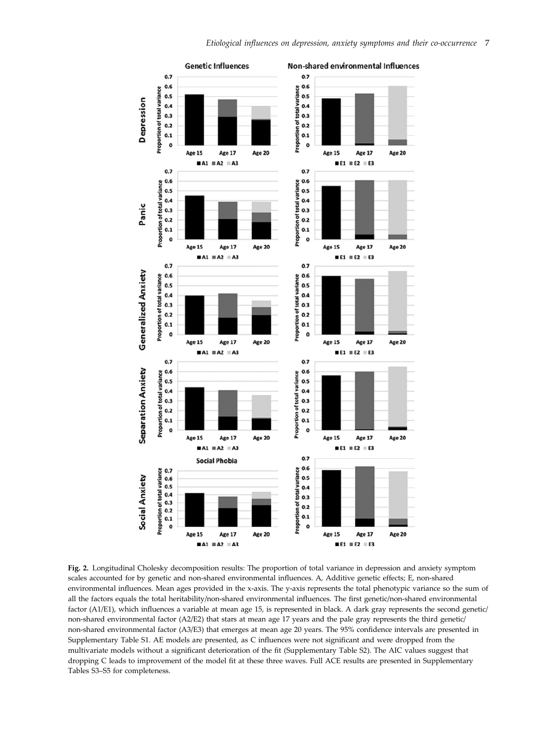<span id="page-6-0"></span>

Fig. 2. Longitudinal Cholesky decomposition results: The proportion of total variance in depression and anxiety symptom scales accounted for by genetic and non-shared environmental influences. A, Additive genetic effects; E, non-shared environmental influences. Mean ages provided in the x-axis. The y-axis represents the total phenotypic variance so the sum of all the factors equals the total heritability/non-shared environmental influences. The first genetic/non-shared environmental factor (A1/E1), which influences a variable at mean age 15, is represented in black. A dark gray represents the second genetic/ non-shared environmental factor (A2/E2) that stars at mean age 17 years and the pale gray represents the third genetic/ non-shared environmental factor (A3/E3) that emerges at mean age 20 years. The 95% confidence intervals are presented in Supplementary Table S1. AE models are presented, as C influences were not significant and were dropped from the multivariate models without a significant deterioration of the fit (Supplementary Table S2). The AIC values suggest that dropping C leads to improvement of the model fit at these three waves. Full ACE results are presented in Supplementary Tables S3–S5 for completeness.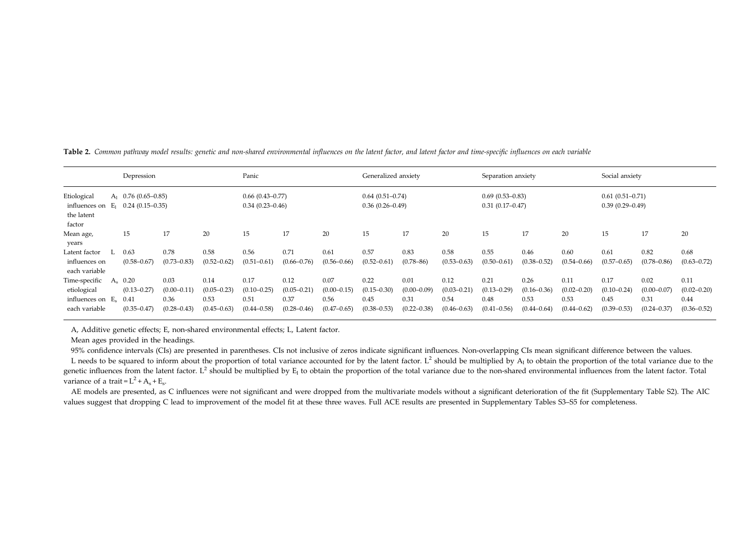|                                                                   | Depression             |                 |                 | Panic                                    |                 |                 | Generalized anxiety                      |                 |                 | Separation anxiety                       |                 |                 | Social anxiety                           |                 |                 |
|-------------------------------------------------------------------|------------------------|-----------------|-----------------|------------------------------------------|-----------------|-----------------|------------------------------------------|-----------------|-----------------|------------------------------------------|-----------------|-----------------|------------------------------------------|-----------------|-----------------|
| Etiological<br>influences on $E_1$ 0.24 (0.15–0.35)<br>the latent | $A_1$ 0.76 (0.65–0.85) |                 |                 | $0.66(0.43-0.77)$<br>$0.34(0.23 - 0.46)$ |                 |                 | $0.64(0.51-0.74)$<br>$0.36(0.26 - 0.49)$ |                 |                 | $0.69(0.53 - 0.83)$<br>$0.31(0.17-0.47)$ |                 |                 | $0.61(0.51-0.71)$<br>$0.39(0.29 - 0.49)$ |                 |                 |
| factor                                                            |                        |                 |                 |                                          |                 |                 |                                          |                 |                 |                                          |                 |                 |                                          |                 |                 |
| Mean age,<br>years                                                | 15                     | 17              | 20              | 15                                       | 17              | 20              | 15                                       | 17              | 20              | 15                                       | 17              | 20              | 15                                       | 17              | 20              |
| Latent factor                                                     | 0.63                   | 0.78            | 0.58            | 0.56                                     | 0.71            | 0.61            | 0.57                                     | 0.83            | 0.58            | 0.55                                     | 0.46            | 0.60            | 0.61                                     | 0.82            | 0.68            |
| influences on<br>each variable                                    | $(0.58 - 0.67)$        | $(0.73 - 0.83)$ | $(0.52 - 0.62)$ | $(0.51 - 0.61)$                          | $(0.66 - 0.76)$ | $(0.56 - 0.66)$ | $(0.52 - 0.61)$                          | $(0.78 - 86)$   | $(0.53 - 0.63)$ | $(0.50 - 0.61)$                          | $(0.38 - 0.52)$ | $(0.54 - 0.66)$ | $(0.57 - 0.65)$                          | $(0.78 - 0.86)$ | $(0.63 - 0.72)$ |
| Time-specific A <sub>s</sub> 0.20                                 |                        | 0.03            | 0.14            | 0.17                                     | 0.12            | 0.07            | 0.22                                     | 0.01            | 0.12            | 0.21                                     | 0.26            | 0.11            | 0.17                                     | 0.02            | 0.11            |
| etiological                                                       | $(0.13 - 0.27)$        | $(0.00 - 0.11)$ | $(0.05 - 0.23)$ | $(0.10 - 0.25)$                          | $(0.05 - 0.21)$ | $(0.00 - 0.15)$ | $(0.15 - 0.30)$                          | $(0.00 - 0.09)$ | $(0.03 - 0.21)$ | $(0.13 - 0.29)$                          | $(0.16 - 0.36)$ | $(0.02 - 0.20)$ | $(0.10 - 0.24)$                          | $(0.00 - 0.07)$ | $(0.02 - 0.20)$ |
| influences on $E_s$ 0.41                                          |                        | 0.36            | 0.53            | 0.51                                     | 0.37            | 0.56            | 0.45                                     | 0.31            | 0.54            | 0.48                                     | 0.53            | 0.53            | 0.45                                     | 0.31            | 0.44            |
| each variable                                                     | $(0.35 - 0.47)$        | $(0.28 - 0.43)$ | $(0.45 - 0.63)$ | $(0.44 - 0.58)$                          | $(0.28 - 0.46)$ | $(0.47 - 0.65)$ | $(0.38 - 0.53)$                          | $(0.22 - 0.38)$ | $(0.46 - 0.63)$ | $(0.41 - 0.56)$                          | $(0.44 - 0.64)$ | $(0.44 - 0.62)$ | $(0.39 - 0.53)$                          | $(0.24 - 0.37)$ | $(0.36 - 0.52)$ |

<span id="page-7-0"></span>Table 2. Common pathway model results: genetic and non-shared environmental influences on the latent factor, and latent factor and time-specifi<sup>c</sup> influences on each variable

A, Additive genetic effects; E, non-shared environmental effects; L, Latent factor.

Mean ages provided in the headings.

95% confidence intervals (CIs) are presented in parentheses. CIs not inclusive of zeros indicate significant influences. Non-overlapping CIs mean significant difference between the values.

L needs to be squared to inform about the proportion of total variance accounted for by the latent factor. L<sup>2</sup> should be multiplied by  $A_1$  to obtain the proportion of the total variance due to the genetic influences from the latent factor. L<sup>2</sup> should be multiplied by  $E_1$  to obtain the proportion of the total variance due to the non-shared environmental influences from the latent factor. Total variance of a trait =  $L^2$  +  $A_s$  +  $E_s$ .

AE models are presented, as C influences were not significant and were dropped from the multivariate models without a significant deterioration of the fit (Supplementary Table S2). The AIC values sugges<sup>t</sup> that dropping C lead to improvement of the model fi<sup>t</sup> at these three waves. Full ACE results are presented in Supplementary Tables S3–S5 for completeness.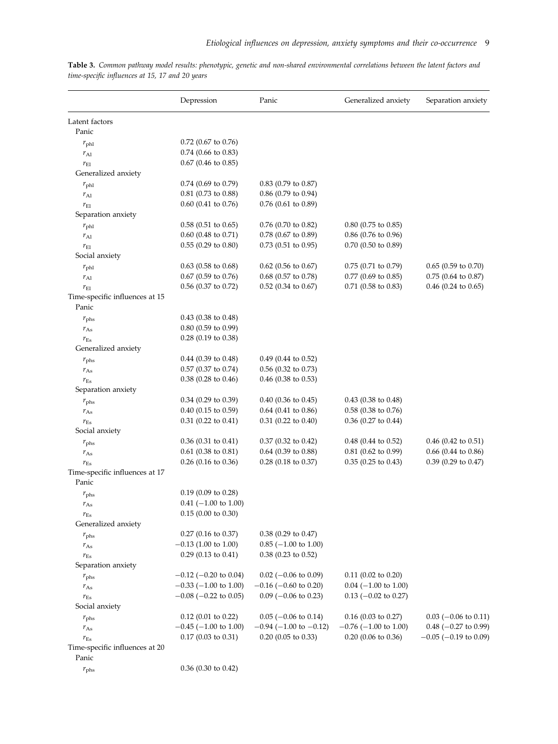|                                         | Depression                 | Panic                          | Generalized anxiety        | Separation anxiety         |
|-----------------------------------------|----------------------------|--------------------------------|----------------------------|----------------------------|
| Latent factors                          |                            |                                |                            |                            |
| Panic                                   |                            |                                |                            |                            |
| $r_{\rm phl}$                           | $0.72$ (0.67 to 0.76)      |                                |                            |                            |
| $r_{\rm Al}$                            | $0.74$ (0.66 to 0.83)      |                                |                            |                            |
| $r_{\rm El}$                            | $0.67$ (0.46 to 0.85)      |                                |                            |                            |
| Generalized anxiety                     |                            |                                |                            |                            |
| $r_{\rm phl}$                           | $0.74$ (0.69 to 0.79)      | $0.83$ (0.79 to 0.87)          |                            |                            |
| $r_{Al}$                                | $0.81$ (0.73 to 0.88)      | $0.86$ (0.79 to 0.94)          |                            |                            |
| $r_{\rm El}$                            | $0.60$ (0.41 to 0.76)      | 0.76 (0.61 to 0.89)            |                            |                            |
| Separation anxiety                      |                            |                                |                            |                            |
| $r_{\rm phl}$                           | $0.58$ (0.51 to 0.65)      | $0.76$ (0.70 to 0.82)          | $0.80$ (0.75 to 0.85)      |                            |
| $r_{\rm Al}$                            | $0.60$ (0.48 to 0.71)      | $0.78$ (0.67 to 0.89)          | $0.86$ (0.76 to 0.96)      |                            |
| $r_{\rm El}$                            | $0.55$ (0.29 to 0.80)      | $0.73$ (0.51 to 0.95)          | $0.70$ (0.50 to 0.89)      |                            |
| Social anxiety                          |                            |                                |                            |                            |
| $r_{\rm phl}$                           | $0.63$ (0.58 to 0.68)      | $0.62$ (0.56 to 0.67)          | $0.75$ (0.71 to 0.79)      | $0.65$ (0.59 to 0.70)      |
| $r_{\rm Al}$                            | $0.67$ (0.59 to 0.76)      | $0.68$ (0.57 to 0.78)          | $0.77$ (0.69 to 0.85)      | $0.75$ (0.64 to 0.87)      |
| $r_{\rm El}$                            | $0.56$ (0.37 to 0.72)      | $0.52$ (0.34 to 0.67)          | $0.71$ (0.58 to 0.83)      | $0.46$ (0.24 to 0.65)      |
| Time-specific influences at 15          |                            |                                |                            |                            |
| Panic                                   |                            |                                |                            |                            |
| $r_{\rm phs}$                           | $0.43$ (0.38 to 0.48)      |                                |                            |                            |
| $r_{As}$                                | $0.80$ (0.59 to 0.99)      |                                |                            |                            |
| $r_{\rm Es}$                            | 0.28 (0.19 to 0.38)        |                                |                            |                            |
| Generalized anxiety                     |                            |                                |                            |                            |
| $r_{\rm phs}$                           | $0.44$ (0.39 to 0.48)      | $0.49$ (0.44 to 0.52)          |                            |                            |
| $r_{\rm As}$                            | $0.57$ (0.37 to 0.74)      | $0.56$ (0.32 to 0.73)          |                            |                            |
| $r_{\rm Es}$                            | $0.38$ (0.28 to 0.46)      | $0.46$ (0.38 to 0.53)          |                            |                            |
| Separation anxiety                      |                            |                                |                            |                            |
| $r_{\rm phs}$                           | $0.34$ (0.29 to 0.39)      | $0.40$ (0.36 to 0.45)          | $0.43$ (0.38 to 0.48)      |                            |
| $r_{\rm As}$                            | $0.40$ (0.15 to 0.59)      | $0.64$ (0.41 to 0.86)          | $0.58$ (0.38 to 0.76)      |                            |
| $r_{\rm Es}$                            | $0.31$ (0.22 to 0.41)      | $0.31$ (0.22 to 0.40)          | $0.36$ (0.27 to 0.44)      |                            |
| Social anxiety                          |                            |                                |                            |                            |
| $r_{\rm phs}$                           | $0.36$ (0.31 to 0.41)      | $0.37$ (0.32 to 0.42)          | $0.48$ (0.44 to 0.52)      | $0.46$ (0.42 to 0.51)      |
| $r_{As}$                                | $0.61$ (0.38 to 0.81)      | $0.64$ (0.39 to 0.88)          | $0.81$ (0.62 to 0.99)      | $0.66$ (0.44 to 0.86)      |
| $r_{\rm Es}$                            | $0.26$ (0.16 to 0.36)      | $0.28$ (0.18 to 0.37)          | $0.35$ (0.25 to 0.43)      | $0.39$ (0.29 to 0.47)      |
| Time-specific influences at 17<br>Panic |                            |                                |                            |                            |
| $r_{\rm phs}$                           | $0.19$ (0.09 to 0.28)      |                                |                            |                            |
| $r_{\rm As}$                            | $0.41$ (-1.00 to 1.00)     |                                |                            |                            |
| $r_{\rm Es}$                            | $0.15(0.00)$ to $0.30)$    |                                |                            |                            |
| Generalized anxiety                     |                            |                                |                            |                            |
| $r_{\rm phs}$                           | $0.27$ (0.16 to 0.37)      | $0.38$ (0.29 to 0.47)          |                            |                            |
| $r_{\rm As}$                            | $-0.13$ (1.00 to 1.00)     | $0.85$ (-1.00 to 1.00)         |                            |                            |
| $r_{\rm Es}$                            | $0.29$ (0.13 to 0.41)      | $0.38$ (0.23 to 0.52)          |                            |                            |
| Separation anxiety                      |                            |                                |                            |                            |
| $r_{\rm phs}$                           | $-0.12$ ( $-0.20$ to 0.04) | $0.02$ (-0.06 to 0.09)         | $0.11$ (0.02 to 0.20)      |                            |
| $r_{\rm As}$                            | $-0.33$ ( $-1.00$ to 1.00) | $-0.16$ ( $-0.60$ to 0.20)     | $0.04$ (-1.00 to 1.00)     |                            |
| $r_{\rm Es}$                            | $-0.08$ ( $-0.22$ to 0.05) | $0.09$ (-0.06 to 0.23)         | $0.13$ (-0.02 to 0.27)     |                            |
| Social anxiety                          |                            |                                |                            |                            |
| $r_{\rm phs}$                           | $0.12$ (0.01 to 0.22)      | $0.05$ (-0.06 to 0.14)         | $0.16$ (0.03 to 0.27)      | $0.03$ (-0.06 to 0.11)     |
| $r_{\rm As}$                            | $-0.45$ ( $-1.00$ to 1.00) | $-0.94$ ( $-1.00$ to $-0.12$ ) | $-0.76$ ( $-1.00$ to 1.00) | $0.48$ ( $-0.27$ to 0.99)  |
| $r_{\rm Es}$                            | $0.17$ (0.03 to 0.31)      | $0.20$ (0.05 to 0.33)          | $0.20$ (0.06 to 0.36)      | $-0.05$ ( $-0.19$ to 0.09) |
| Time-specific influences at 20          |                            |                                |                            |                            |
| Panic                                   |                            |                                |                            |                            |
| $r_{\rm phs}$                           | $0.36$ (0.30 to 0.42)      |                                |                            |                            |
|                                         |                            |                                |                            |                            |

<span id="page-8-0"></span>Table 3. Common pathway model results: phenotypic, genetic and non-shared environmental correlations between the latent factors and time-specific influences at 15, 17 and 20 years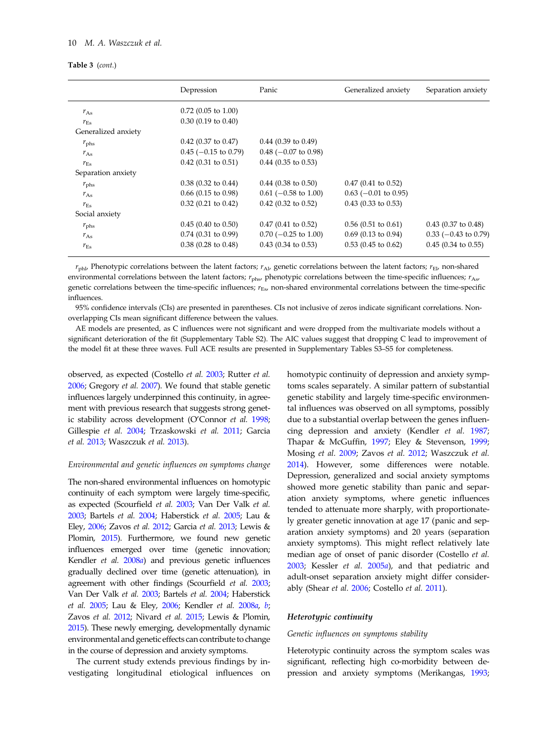## 10 M. A. Waszczuk et al.

#### Table 3 (cont.)

|                     | Depression             | Panic                  | Generalized anxiety    | Separation anxiety     |
|---------------------|------------------------|------------------------|------------------------|------------------------|
| $r_{\rm As}$        | $0.72$ (0.05 to 1.00)  |                        |                        |                        |
| $r_{\rm Es}$        | $0.30$ (0.19 to 0.40)  |                        |                        |                        |
| Generalized anxiety |                        |                        |                        |                        |
| $r_{\rm phs}$       | $0.42$ (0.37 to 0.47)  | $0.44$ (0.39 to 0.49)  |                        |                        |
| $r_{\rm As}$        | $0.45$ (-0.15 to 0.79) | $0.48$ (-0.07 to 0.98) |                        |                        |
| $r_{\rm Es}$        | $0.42$ (0.31 to 0.51)  | $0.44$ (0.35 to 0.53)  |                        |                        |
| Separation anxiety  |                        |                        |                        |                        |
| $r_{\rm phs}$       | $0.38$ (0.32 to 0.44)  | $0.44$ (0.38 to 0.50)  | $0.47$ (0.41 to 0.52)  |                        |
| $r_{\rm As}$        | $0.66$ (0.15 to 0.98)  | $0.61$ (-0.58 to 1.00) | $0.63$ (-0.01 to 0.95) |                        |
| $r_{Es}$            | $0.32$ (0.21 to 0.42)  | $0.42$ (0.32 to 0.52)  | $0.43$ (0.33 to 0.53)  |                        |
| Social anxiety      |                        |                        |                        |                        |
| $r_{\rm phs}$       | $0.45$ (0.40 to 0.50)  | $0.47$ (0.41 to 0.52)  | $0.56$ (0.51 to 0.61)  | $0.43$ (0.37 to 0.48)  |
| $r_{\rm As}$        | $0.74$ (0.31 to 0.99)  | $0.70$ (-0.25 to 1.00) | $0.69$ (0.13 to 0.94)  | $0.33$ (-0.43 to 0.79) |
| $r_{\rm Es}$        | $0.38$ (0.28 to 0.48)  | $0.43$ (0.34 to 0.53)  | $0.53$ (0.45 to 0.62)  | $0.45$ (0.34 to 0.55)  |
|                     |                        |                        |                        |                        |

 $r_{\text{ph}}$ . Phenotypic correlations between the latent factors;  $r_{\text{Al}}$ , genetic correlations between the latent factors;  $r_{\text{El}}$ , non-shared environmental correlations between the latent factors;  $r_{\text{phys}}$  phenotypic correlations between the time-specific influences;  $r_{\text{As}}$ genetic correlations between the time-specific influences;  $r_{Es}$ , non-shared environmental correlations between the time-specific influences.

95% confidence intervals (CIs) are presented in parentheses. CIs not inclusive of zeros indicate significant correlations. Nonoverlapping CIs mean significant difference between the values.

AE models are presented, as C influences were not significant and were dropped from the multivariate models without a significant deterioration of the fit (Supplementary Table S2). The AIC values suggest that dropping C lead to improvement of the model fit at these three waves. Full ACE results are presented in Supplementary Tables S3–S5 for completeness.

observed, as expected (Costello et al. [2003;](#page-12-0) Rutter et al. [2006](#page-13-0); Gregory et al. [2007](#page-12-0)). We found that stable genetic influences largely underpinned this continuity, in agreement with previous research that suggests strong genetic stability across development (O'Connor et al. [1998](#page-13-0); Gillespie et al. [2004](#page-12-0); Trzaskowski et al. [2011](#page-14-0); Garcia et al. [2013;](#page-12-0) Waszczuk et al. [2013\)](#page-14-0).

#### Environmental and genetic influences on symptoms change

The non-shared environmental influences on homotypic continuity of each symptom were largely time-specific, as expected (Scourfield et al. [2003;](#page-13-0) Van Der Valk et al. [2003;](#page-14-0) Bartels et al. [2004;](#page-11-0) Haberstick et al. [2005](#page-12-0); Lau & Eley, [2006](#page-13-0); Zavos et al. [2012](#page-14-0); Garcia et al. [2013;](#page-12-0) Lewis & Plomin, [2015](#page-13-0)). Furthermore, we found new genetic influences emerged over time (genetic innovation; Kendler et al. [2008](#page-12-0)a) and previous genetic influences gradually declined over time (genetic attenuation), in agreement with other findings (Scourfield et al. [2003](#page-13-0); Van Der Valk et al. [2003;](#page-14-0) Bartels et al. [2004](#page-11-0); Haberstick et al. [2005](#page-12-0); Lau & Eley, [2006](#page-13-0); Kendler et al. [2008](#page-12-0)a, [b](#page-12-0); Zavos et al. [2012](#page-14-0); Nivard et al. [2015;](#page-13-0) Lewis & Plomin, [2015\)](#page-13-0). These newly emerging, developmentally dynamic environmental and genetic effects can contribute to change in the course of depression and anxiety symptoms.

The current study extends previous findings by investigating longitudinal etiological influences on homotypic continuity of depression and anxiety symptoms scales separately. A similar pattern of substantial genetic stability and largely time-specific environmental influences was observed on all symptoms, possibly due to a substantial overlap between the genes influencing depression and anxiety (Kendler et al. [1987](#page-12-0); Thapar & McGuffin, [1997;](#page-14-0) Eley & Stevenson, [1999](#page-12-0); Mosing et al. [2009](#page-13-0); Zavos et al. [2012](#page-14-0); Waszczuk et al. [2014\)](#page-14-0). However, some differences were notable. Depression, generalized and social anxiety symptoms showed more genetic stability than panic and separation anxiety symptoms, where genetic influences tended to attenuate more sharply, with proportionately greater genetic innovation at age 17 (panic and separation anxiety symptoms) and 20 years (separation anxiety symptoms). This might reflect relatively late median age of onset of panic disorder (Costello et al. [2003;](#page-12-0) Kessler et al. [2005](#page-13-0)a), and that pediatric and adult-onset separation anxiety might differ considerably (Shear et al. [2006](#page-13-0); Costello et al. [2011](#page-12-0)).

## Heterotypic continuity

#### Genetic influences on symptoms stability

Heterotypic continuity across the symptom scales was significant, reflecting high co-morbidity between depression and anxiety symptoms (Merikangas, [1993](#page-13-0);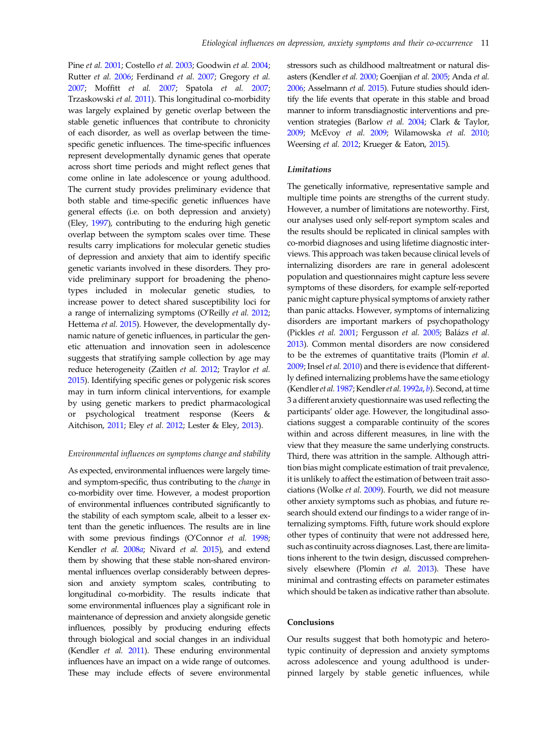Pine et al. [2001](#page-13-0); Costello et al. [2003](#page-12-0); Goodwin et al. [2004](#page-12-0); Rutter et al. [2006;](#page-13-0) Ferdinand et al. [2007;](#page-12-0) Gregory et al. [2007](#page-12-0); Moffitt et al. [2007](#page-13-0); Spatola et al. [2007](#page-14-0); Trzaskowski et al. [2011\)](#page-14-0). This longitudinal co-morbidity was largely explained by genetic overlap between the stable genetic influences that contribute to chronicity of each disorder, as well as overlap between the timespecific genetic influences. The time-specific influences represent developmentally dynamic genes that operate across short time periods and might reflect genes that come online in late adolescence or young adulthood. The current study provides preliminary evidence that both stable and time-specific genetic influences have general effects (i.e. on both depression and anxiety) (Eley, [1997](#page-12-0)), contributing to the enduring high genetic overlap between the symptom scales over time. These results carry implications for molecular genetic studies of depression and anxiety that aim to identify specific genetic variants involved in these disorders. They provide preliminary support for broadening the phenotypes included in molecular genetic studies, to increase power to detect shared susceptibility loci for a range of internalizing symptoms (O'Reilly et al. [2012](#page-13-0); Hettema et al. [2015\)](#page-12-0). However, the developmentally dynamic nature of genetic influences, in particular the genetic attenuation and innovation seen in adolescence suggests that stratifying sample collection by age may reduce heterogeneity (Zaitlen et al. [2012](#page-14-0); Traylor et al. [2015](#page-14-0)). Identifying specific genes or polygenic risk scores may in turn inform clinical interventions, for example by using genetic markers to predict pharmacological or psychological treatment response (Keers & Aitchison, [2011](#page-12-0); Eley et al. [2012](#page-12-0); Lester & Eley, [2013\)](#page-13-0).

# Environmental influences on symptoms change and stability

As expected, environmental influences were largely timeand symptom-specific, thus contributing to the change in co-morbidity over time. However, a modest proportion of environmental influences contributed significantly to the stability of each symptom scale, albeit to a lesser extent than the genetic influences. The results are in line with some previous findings (O'Connor et al. [1998](#page-13-0); Kendler et al. [2008](#page-12-0)a; Nivard et al. [2015\)](#page-13-0), and extend them by showing that these stable non-shared environmental influences overlap considerably between depression and anxiety symptom scales, contributing to longitudinal co-morbidity. The results indicate that some environmental influences play a significant role in maintenance of depression and anxiety alongside genetic influences, possibly by producing enduring effects through biological and social changes in an individual (Kendler et al. [2011](#page-12-0)). These enduring environmental influences have an impact on a wide range of outcomes. These may include effects of severe environmental stressors such as childhood maltreatment or natural disasters (Kendler et al. [2000](#page-12-0); Goenjian et al. [2005](#page-12-0); Anda et al. [2006;](#page-11-0) Asselmann et al. [2015](#page-11-0)). Future studies should identify the life events that operate in this stable and broad manner to inform transdiagnostic interventions and prevention strategies (Barlow et al. [2004](#page-11-0); Clark & Taylor, [2009;](#page-12-0) McEvoy et al. [2009;](#page-13-0) Wilamowska et al. [2010](#page-14-0); Weersing et al. [2012;](#page-14-0) Krueger & Eaton, [2015\)](#page-13-0).

# Limitations

The genetically informative, representative sample and multiple time points are strengths of the current study. However, a number of limitations are noteworthy. First, our analyses used only self-report symptom scales and the results should be replicated in clinical samples with co-morbid diagnoses and using lifetime diagnostic interviews. This approach was taken because clinical levels of internalizing disorders are rare in general adolescent population and questionnaires might capture less severe symptoms of these disorders, for example self-reported panic might capture physical symptoms of anxiety rather than panic attacks. However, symptoms of internalizing disorders are important markers of psychopathology (Pickles et al. [2001;](#page-13-0) Fergusson et al. [2005](#page-12-0); Balázs et al. [2013](#page-11-0)). Common mental disorders are now considered to be the extremes of quantitative traits (Plomin et al. [2009](#page-13-0); Insel et al. [2010\)](#page-12-0) and there is evidence that differently defined internalizing problems have the same etiology (Kendler et al. [1987;](#page-12-0) Kendler et al. [1992](#page-12-0)a, [b](#page-12-0)). Second, at time 3 a different anxiety questionnaire was used reflecting the participants' older age. However, the longitudinal associations suggest a comparable continuity of the scores within and across different measures, in line with the view that they measure the same underlying constructs. Third, there was attrition in the sample. Although attrition bias might complicate estimation of trait prevalence, it is unlikely to affect the estimation of between trait associations (Wolke et al. [2009](#page-14-0)). Fourth, we did not measure other anxiety symptoms such as phobias, and future research should extend our findings to a wider range of internalizing symptoms. Fifth, future work should explore other types of continuity that were not addressed here, such as continuity across diagnoses. Last, there are limitations inherent to the twin design, discussed comprehen-sively elsewhere (Plomin et al. [2013](#page-13-0)). These have minimal and contrasting effects on parameter estimates which should be taken as indicative rather than absolute.

# **Conclusions**

Our results suggest that both homotypic and heterotypic continuity of depression and anxiety symptoms across adolescence and young adulthood is underpinned largely by stable genetic influences, while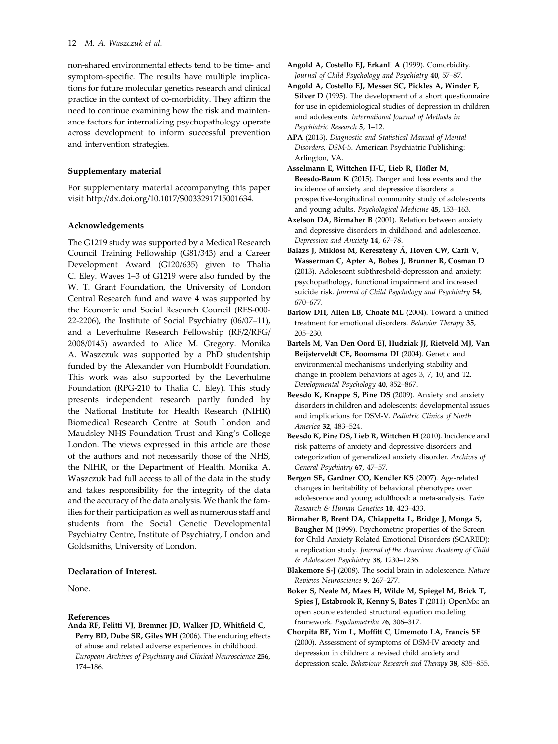<span id="page-11-0"></span>non-shared environmental effects tend to be time- and symptom-specific. The results have multiple implications for future molecular genetics research and clinical practice in the context of co-morbidity. They affirm the need to continue examining how the risk and maintenance factors for internalizing psychopathology operate across development to inform successful prevention and intervention strategies.

## Supplementary material

For supplementary material accompanying this paper visit http://dx.doi.org/10.1017/S0033291715001634.

# Acknowledgements

The G1219 study was supported by a Medical Research Council Training Fellowship (G81/343) and a Career Development Award (G120/635) given to Thalia C. Eley. Waves 1–3 of G1219 were also funded by the W. T. Grant Foundation, the University of London Central Research fund and wave 4 was supported by the Economic and Social Research Council (RES-000- 22-2206), the Institute of Social Psychiatry (06/07–11), and a Leverhulme Research Fellowship (RF/2/RFG/ 2008/0145) awarded to Alice M. Gregory. Monika A. Waszczuk was supported by a PhD studentship funded by the Alexander von Humboldt Foundation. This work was also supported by the Leverhulme Foundation (RPG-210 to Thalia C. Eley). This study presents independent research partly funded by the National Institute for Health Research (NIHR) Biomedical Research Centre at South London and Maudsley NHS Foundation Trust and King's College London. The views expressed in this article are those of the authors and not necessarily those of the NHS, the NIHR, or the Department of Health. Monika A. Waszczuk had full access to all of the data in the study and takes responsibility for the integrity of the data and the accuracy of the data analysis. We thank the families for their participation as well as numerous staff and students from the Social Genetic Developmental Psychiatry Centre, Institute of Psychiatry, London and Goldsmiths, University of London.

#### Declaration of Interest.

None.

#### References

Anda RF, Felitti VJ, Bremner JD, Walker JD, Whitfield C, Perry BD, Dube SR, Giles WH (2006). The enduring effects of abuse and related adverse experiences in childhood. European Archives of Psychiatry and Clinical Neuroscience 256, 174–186.

- Angold A, Costello EJ, Erkanli A (1999). Comorbidity. Journal of Child Psychology and Psychiatry 40, 57–87.
- Angold A, Costello EJ, Messer SC, Pickles A, Winder F, Silver D (1995). The development of a short questionnaire for use in epidemiological studies of depression in children and adolescents. International Journal of Methods in Psychiatric Research 5, 1–12.
- APA (2013). Diagnostic and Statistical Manual of Mental Disorders, DSM-5. American Psychiatric Publishing: Arlington, VA.
- Asselmann E, Wittchen H-U, Lieb R, Höfler M, Beesdo-Baum K (2015). Danger and loss events and the incidence of anxiety and depressive disorders: a prospective-longitudinal community study of adolescents and young adults. Psychological Medicine 45, 153–163.
- Axelson DA, Birmaher B (2001). Relation between anxiety and depressive disorders in childhood and adolescence. Depression and Anxiety 14, 67–78.
- Balázs J, Miklósi M, Keresztény Á, Hoven CW, Carli V, Wasserman C, Apter A, Bobes J, Brunner R, Cosman D (2013). Adolescent subthreshold-depression and anxiety: psychopathology, functional impairment and increased suicide risk. Journal of Child Psychology and Psychiatry 54, 670–677.
- Barlow DH, Allen LB, Choate ML (2004). Toward a unified treatment for emotional disorders. Behavior Therapy 35, 205–230.
- Bartels M, Van Den Oord EJ, Hudziak JJ, Rietveld MJ, Van Beijsterveldt CE, Boomsma DI (2004). Genetic and environmental mechanisms underlying stability and change in problem behaviors at ages 3, 7, 10, and 12. Developmental Psychology 40, 852–867.
- Beesdo K, Knappe S, Pine DS (2009). Anxiety and anxiety disorders in children and adolescents: developmental issues and implications for DSM-V. Pediatric Clinics of North America 32, 483–524.
- Beesdo K, Pine DS, Lieb R, Wittchen H (2010). Incidence and risk patterns of anxiety and depressive disorders and categorization of generalized anxiety disorder. Archives of General Psychiatry 67, 47–57.
- Bergen SE, Gardner CO, Kendler KS (2007). Age-related changes in heritability of behavioral phenotypes over adolescence and young adulthood: a meta-analysis. Twin Research & Human Genetics 10, 423–433.
- Birmaher B, Brent DA, Chiappetta L, Bridge J, Monga S, Baugher M (1999). Psychometric properties of the Screen for Child Anxiety Related Emotional Disorders (SCARED): a replication study. Journal of the American Academy of Child & Adolescent Psychiatry 38, 1230–1236.
- Blakemore S-J (2008). The social brain in adolescence. Nature Reviews Neuroscience 9, 267–277.
- Boker S, Neale M, Maes H, Wilde M, Spiegel M, Brick T, Spies J, Estabrook R, Kenny S, Bates T (2011). OpenMx: an open source extended structural equation modeling framework. Psychometrika 76, 306–317.
- Chorpita BF, Yim L, Moffitt C, Umemoto LA, Francis SE (2000). Assessment of symptoms of DSM-IV anxiety and depression in children: a revised child anxiety and depression scale. Behaviour Research and Therapy 38, 835–855.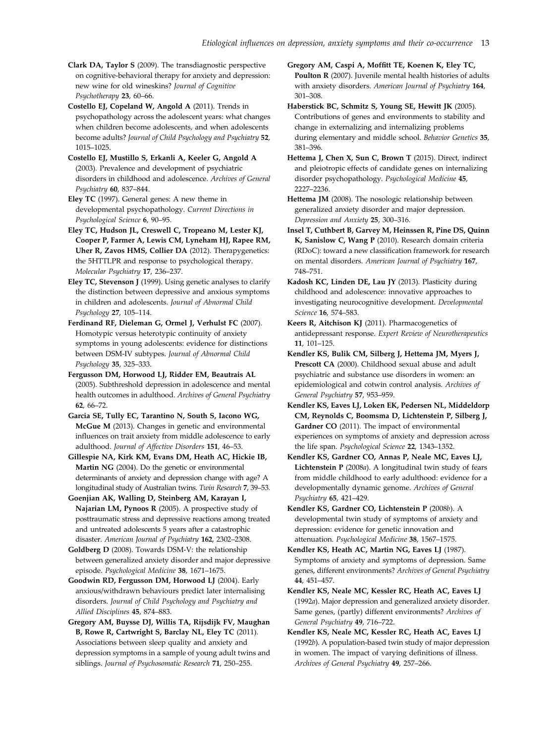<span id="page-12-0"></span>Clark DA, Taylor S (2009). The transdiagnostic perspective on cognitive-behavioral therapy for anxiety and depression: new wine for old wineskins? Journal of Cognitive Psychotherapy 23, 60–66.

Costello EJ, Copeland W, Angold A (2011). Trends in psychopathology across the adolescent years: what changes when children become adolescents, and when adolescents become adults? Journal of Child Psychology and Psychiatry 52, 1015–1025.

Costello EJ, Mustillo S, Erkanli A, Keeler G, Angold A (2003). Prevalence and development of psychiatric disorders in childhood and adolescence. Archives of General Psychiatry 60, 837–844.

Eley TC (1997). General genes: A new theme in developmental psychopathology. Current Directions in Psychological Science 6, 90–95.

Eley TC, Hudson JL, Creswell C, Tropeano M, Lester KJ, Cooper P, Farmer A, Lewis CM, Lyneham HJ, Rapee RM, Uher R, Zavos HMS, Collier DA (2012). Therapygenetics: the 5HTTLPR and response to psychological therapy. Molecular Psychiatry 17, 236–237.

Eley TC, Stevenson J (1999). Using genetic analyses to clarify the distinction between depressive and anxious symptoms in children and adolescents. Journal of Abnormal Child Psychology 27, 105–114.

Ferdinand RF, Dieleman G, Ormel J, Verhulst FC (2007). Homotypic versus heterotypic continuity of anxiety symptoms in young adolescents: evidence for distinctions between DSM-IV subtypes. Journal of Abnormal Child Psychology 35, 325–333.

Fergusson DM, Horwood LJ, Ridder EM, Beautrais AL (2005). Subthreshold depression in adolescence and mental health outcomes in adulthood. Archives of General Psychiatry 62, 66–72.

Garcia SE, Tully EC, Tarantino N, South S, Iacono WG, McGue M (2013). Changes in genetic and environmental influences on trait anxiety from middle adolescence to early adulthood. Journal of Affective Disorders 151, 46–53.

Gillespie NA, Kirk KM, Evans DM, Heath AC, Hickie IB, Martin NG (2004). Do the genetic or environmental determinants of anxiety and depression change with age? A longitudinal study of Australian twins. Twin Research 7, 39–53.

Goenjian AK, Walling D, Steinberg AM, Karayan I, Najarian LM, Pynoos R (2005). A prospective study of posttraumatic stress and depressive reactions among treated and untreated adolescents 5 years after a catastrophic disaster. American Journal of Psychiatry 162, 2302–2308.

Goldberg D (2008). Towards DSM-V: the relationship between generalized anxiety disorder and major depressive episode. Psychological Medicine 38, 1671–1675.

Goodwin RD, Fergusson DM, Horwood LJ (2004). Early anxious/withdrawn behaviours predict later internalising disorders. Journal of Child Psychology and Psychiatry and Allied Disciplines 45, 874–883.

Gregory AM, Buysse DJ, Willis TA, Rijsdijk FV, Maughan B, Rowe R, Cartwright S, Barclay NL, Eley TC (2011). Associations between sleep quality and anxiety and depression symptoms in a sample of young adult twins and siblings. Journal of Psychosomatic Research 71, 250–255.

Gregory AM, Caspi A, Moffitt TE, Koenen K, Eley TC, Poulton R (2007). Juvenile mental health histories of adults with anxiety disorders. American Journal of Psychiatry 164, 301–308.

Haberstick BC, Schmitz S, Young SE, Hewitt JK (2005). Contributions of genes and environments to stability and change in externalizing and internalizing problems during elementary and middle school. Behavior Genetics 35, 381–396.

Hettema J, Chen X, Sun C, Brown T (2015). Direct, indirect and pleiotropic effects of candidate genes on internalizing disorder psychopathology. Psychological Medicine 45, 2227–2236.

Hettema JM (2008). The nosologic relationship between generalized anxiety disorder and major depression. Depression and Anxiety 25, 300–316.

Insel T, Cuthbert B, Garvey M, Heinssen R, Pine DS, Quinn K, Sanislow C, Wang P (2010). Research domain criteria (RDoC): toward a new classification framework for research on mental disorders. American Journal of Psychiatry 167, 748–751.

Kadosh KC, Linden DE, Lau JY (2013). Plasticity during childhood and adolescence: innovative approaches to investigating neurocognitive development. Developmental Science 16, 574–583.

Keers R, Aitchison KJ (2011). Pharmacogenetics of antidepressant response. Expert Review of Neurotherapeutics 11, 101–125.

Kendler KS, Bulik CM, Silberg J, Hettema JM, Myers J, Prescott CA (2000). Childhood sexual abuse and adult psychiatric and substance use disorders in women: an epidemiological and cotwin control analysis. Archives of General Psychiatry 57, 953–959.

Kendler KS, Eaves LJ, Loken EK, Pedersen NL, Middeldorp CM, Reynolds C, Boomsma D, Lichtenstein P, Silberg J, Gardner CO (2011). The impact of environmental experiences on symptoms of anxiety and depression across the life span. Psychological Science 22, 1343–1352.

Kendler KS, Gardner CO, Annas P, Neale MC, Eaves LJ, Lichtenstein P (2008a). A longitudinal twin study of fears from middle childhood to early adulthood: evidence for a developmentally dynamic genome. Archives of General Psychiatry 65, 421–429.

Kendler KS, Gardner CO, Lichtenstein P (2008b). A developmental twin study of symptoms of anxiety and depression: evidence for genetic innovation and attenuation. Psychological Medicine 38, 1567–1575.

Kendler KS, Heath AC, Martin NG, Eaves LJ (1987). Symptoms of anxiety and symptoms of depression. Same genes, different environments? Archives of General Psychiatry 44, 451–457.

Kendler KS, Neale MC, Kessler RC, Heath AC, Eaves LJ (1992a). Major depression and generalized anxiety disorder. Same genes, (partly) different environments? Archives of General Psychiatry 49, 716–722.

Kendler KS, Neale MC, Kessler RC, Heath AC, Eaves LJ (1992b). A population-based twin study of major depression in women. The impact of varying definitions of illness. Archives of General Psychiatry 49, 257–266.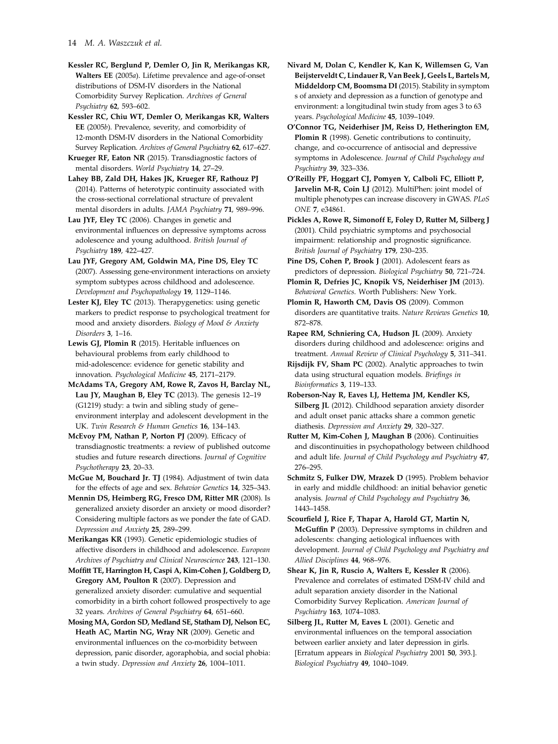<span id="page-13-0"></span>Kessler RC, Berglund P, Demler O, Jin R, Merikangas KR, Walters EE (2005a). Lifetime prevalence and age-of-onset distributions of DSM-IV disorders in the National Comorbidity Survey Replication. Archives of General Psychiatry 62, 593–602.

Kessler RC, Chiu WT, Demler O, Merikangas KR, Walters EE (2005b). Prevalence, severity, and comorbidity of 12-month DSM-IV disorders in the National Comorbidity Survey Replication. Archives of General Psychiatry 62, 617–627.

Krueger RF, Eaton NR (2015). Transdiagnostic factors of mental disorders. World Psychiatry 14, 27–29.

Lahey BB, Zald DH, Hakes JK, Krueger RF, Rathouz PJ (2014). Patterns of heterotypic continuity associated with the cross-sectional correlational structure of prevalent mental disorders in adults. JAMA Psychiatry 71, 989–996.

Lau JYF, Eley TC (2006). Changes in genetic and environmental influences on depressive symptoms across adolescence and young adulthood. British Journal of Psychiatry 189, 422–427.

Lau JYF, Gregory AM, Goldwin MA, Pine DS, Eley TC (2007). Assessing gene-environment interactions on anxiety symptom subtypes across childhood and adolescence. Development and Psychopathology 19, 1129–1146.

Lester KJ, Eley TC (2013). Therapygenetics: using genetic markers to predict response to psychological treatment for mood and anxiety disorders. Biology of Mood & Anxiety Disorders 3, 1-16.

Lewis GJ, Plomin R (2015). Heritable influences on behavioural problems from early childhood to mid-adolescence: evidence for genetic stability and innovation. Psychological Medicine 45, 2171–2179.

McAdams TA, Gregory AM, Rowe R, Zavos H, Barclay NL, Lau JY, Maughan B, Eley TC (2013). The genesis 12–19 (G1219) study: a twin and sibling study of gene– environment interplay and adolescent development in the UK. Twin Research & Human Genetics 16, 134–143.

McEvoy PM, Nathan P, Norton PJ (2009). Efficacy of transdiagnostic treatments: a review of published outcome studies and future research directions. Journal of Cognitive Psychotherapy 23, 20–33.

McGue M, Bouchard Jr. TJ (1984). Adjustment of twin data for the effects of age and sex. Behavior Genetics 14, 325–343.

Mennin DS, Heimberg RG, Fresco DM, Ritter MR (2008). Is generalized anxiety disorder an anxiety or mood disorder? Considering multiple factors as we ponder the fate of GAD. Depression and Anxiety 25, 289–299.

Merikangas KR (1993). Genetic epidemiologic studies of affective disorders in childhood and adolescence. European Archives of Psychiatry and Clinical Neuroscience 243, 121–130.

Moffitt TE, Harrington H, Caspi A, Kim-Cohen J, Goldberg D, Gregory AM, Poulton R (2007). Depression and generalized anxiety disorder: cumulative and sequential comorbidity in a birth cohort followed prospectively to age 32 years. Archives of General Psychiatry 64, 651–660.

Mosing MA, Gordon SD, Medland SE, Statham DJ, Nelson EC, Heath AC, Martin NG, Wray NR (2009). Genetic and environmental influences on the co-morbidity between depression, panic disorder, agoraphobia, and social phobia: a twin study. Depression and Anxiety 26, 1004–1011.

Nivard M, Dolan C, Kendler K, Kan K, Willemsen G, Van Beijsterveldt C, Lindauer R, Van Beek J, Geels L, BartelsM, Middeldorp CM, Boomsma DI (2015). Stability in symptom s of anxiety and depression as a function of genotype and environment: a longitudinal twin study from ages 3 to 63 years. Psychological Medicine 45, 1039–1049.

O'Connor TG, Neiderhiser JM, Reiss D, Hetherington EM, Plomin R (1998). Genetic contributions to continuity, change, and co-occurrence of antisocial and depressive symptoms in Adolescence. Journal of Child Psychology and Psychiatry 39, 323–336.

O'Reilly PF, Hoggart CJ, Pomyen Y, Calboli FC, Elliott P, Jarvelin M-R, Coin LJ (2012). MultiPhen: joint model of multiple phenotypes can increase discovery in GWAS. PLoS ONE 7, e34861.

Pickles A, Rowe R, Simonoff E, Foley D, Rutter M, Silberg J (2001). Child psychiatric symptoms and psychosocial impairment: relationship and prognostic significance. British Journal of Psychiatry 179, 230–235.

Pine DS, Cohen P, Brook J (2001). Adolescent fears as predictors of depression. Biological Psychiatry 50, 721–724.

Plomin R, Defries JC, Knopik VS, Neiderhiser JM (2013). Behavioral Genetics. Worth Publishers: New York.

Plomin R, Haworth CM, Davis OS (2009). Common disorders are quantitative traits. Nature Reviews Genetics 10, 872–878.

Rapee RM, Schniering CA, Hudson JL (2009). Anxiety disorders during childhood and adolescence: origins and treatment. Annual Review of Clinical Psychology 5, 311–341.

Rijsdijk FV, Sham PC (2002). Analytic approaches to twin data using structural equation models. Briefings in Bioinformatics 3, 119–133.

Roberson‐Nay R, Eaves LJ, Hettema JM, Kendler KS, Silberg JL (2012). Childhood separation anxiety disorder and adult onset panic attacks share a common genetic diathesis. Depression and Anxiety 29, 320–327.

Rutter M, Kim-Cohen J, Maughan B (2006). Continuities and discontinuities in psychopathology between childhood and adult life. Journal of Child Psychology and Psychiatry 47, 276–295.

Schmitz S, Fulker DW, Mrazek D (1995). Problem behavior in early and middle childhood: an initial behavior genetic analysis. Journal of Child Psychology and Psychiatry 36, 1443–1458.

Scourfield J, Rice F, Thapar A, Harold GT, Martin N, McGuffin P (2003). Depressive symptoms in children and adolescents: changing aetiological influences with development. Journal of Child Psychology and Psychiatry and Allied Disciplines 44, 968–976.

Shear K, Jin R, Ruscio A, Walters E, Kessler R (2006). Prevalence and correlates of estimated DSM-IV child and adult separation anxiety disorder in the National Comorbidity Survey Replication. American Journal of Psychiatry 163, 1074–1083.

Silberg JL, Rutter M, Eaves L (2001). Genetic and environmental influences on the temporal association between earlier anxiety and later depression in girls. [Erratum appears in Biological Psychiatry 2001 50, 393.]. Biological Psychiatry 49, 1040–1049.